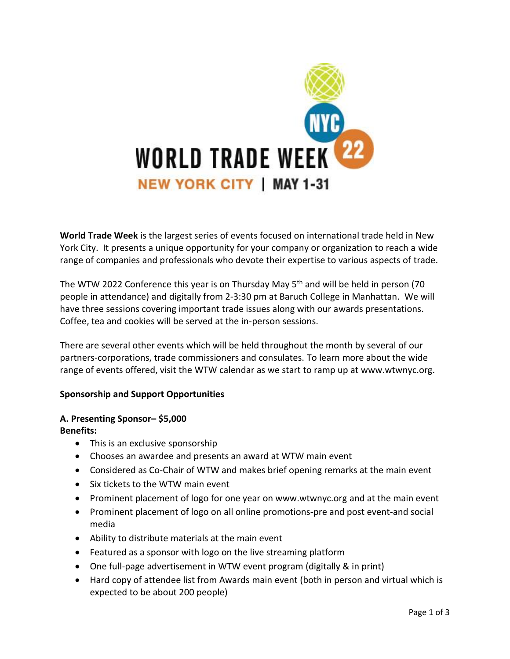

**World Trade Week** is the largest series of events focused on international trade held in New York City. It presents a unique opportunity for your company or organization to reach a wide range of companies and professionals who devote their expertise to various aspects of trade.

The WTW 2022 Conference this year is on Thursday May  $5<sup>th</sup>$  and will be held in person (70 people in attendance) and digitally from 2-3:30 pm at Baruch College in Manhattan. We will have three sessions covering important trade issues along with our awards presentations. Coffee, tea and cookies will be served at the in-person sessions.

There are several other events which will be held throughout the month by several of our partners-corporations, trade commissioners and consulates. To learn more about the wide range of events offered, visit the WTW calendar as we start to ramp up at www.wtwnyc.org.

# **Sponsorship and Support Opportunities**

#### **A. Presenting Sponsor– \$5,000 Benefits:**

- This is an exclusive sponsorship
- Chooses an awardee and presents an award at WTW main event
- Considered as Co-Chair of WTW and makes brief opening remarks at the main event
- Six tickets to the WTW main event
- Prominent placement of logo for one year on www.wtwnyc.org and at the main event
- Prominent placement of logo on all online promotions-pre and post event-and social media
- Ability to distribute materials at the main event
- Featured as a sponsor with logo on the live streaming platform
- One full-page advertisement in WTW event program (digitally & in print)
- Hard copy of attendee list from Awards main event (both in person and virtual which is expected to be about 200 people)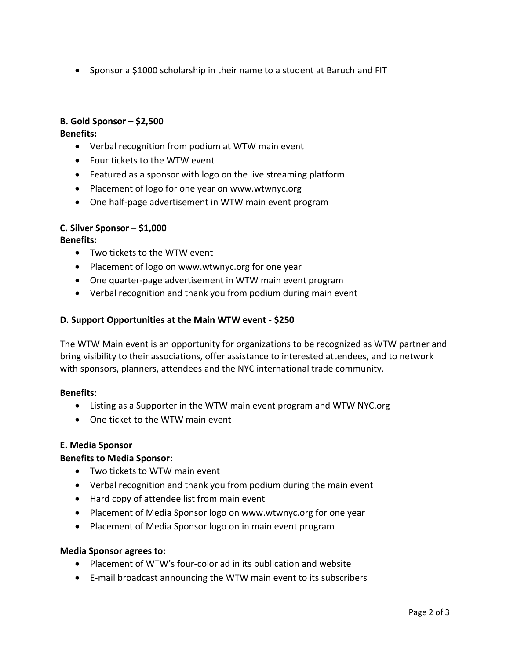• Sponsor a \$1000 scholarship in their name to a student at Baruch and FIT

# **B. Gold Sponsor – \$2,500**

**Benefits:** 

- Verbal recognition from podium at WTW main event
- Four tickets to the WTW event
- Featured as a sponsor with logo on the live streaming platform
- Placement of logo for one year on www.wtwnyc.org
- One half-page advertisement in WTW main event program

## **C. Silver Sponsor – \$1,000**

**Benefits:** 

- Two tickets to the WTW event
- Placement of logo on www.wtwnyc.org for one year
- One quarter-page advertisement in WTW main event program
- Verbal recognition and thank you from podium during main event

## **D. Support Opportunities at the Main WTW event - \$250**

The WTW Main event is an opportunity for organizations to be recognized as WTW partner and bring visibility to their associations, offer assistance to interested attendees, and to network with sponsors, planners, attendees and the NYC international trade community.

## **Benefits**:

- Listing as a Supporter in the WTW main event program and WTW NYC.org
- One ticket to the WTW main event

#### **E. Media Sponsor**

## **Benefits to Media Sponsor:**

- Two tickets to WTW main event
- Verbal recognition and thank you from podium during the main event
- Hard copy of attendee list from main event
- Placement of Media Sponsor logo on www.wtwnyc.org for one year
- Placement of Media Sponsor logo on in main event program

#### **Media Sponsor agrees to:**

- Placement of WTW's four-color ad in its publication and website
- E-mail broadcast announcing the WTW main event to its subscribers